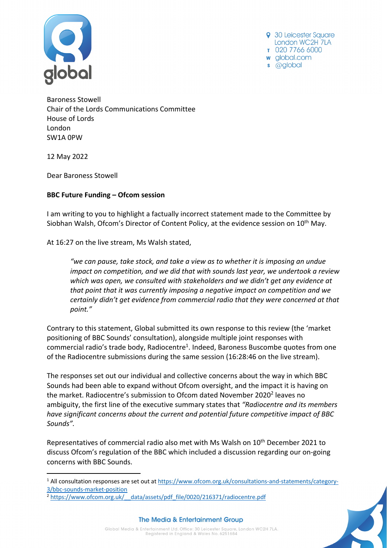

9 30 Leicester Sauare London WC2H 7LA T 020 7766 6000 w global.com s @global

Baroness Stowell Chair of the Lords Communications Committee House of Lords London SW1A 0PW

12 May 2022

Dear Baroness Stowell

## **BBC Future Funding – Ofcom session**

I am writing to you to highlight a factually incorrect statement made to the Committee by Siobhan Walsh, Ofcom's Director of Content Policy, at the evidence session on 10<sup>th</sup> May.

At 16:27 on the live stream, Ms Walsh stated,

*"we can pause, take stock, and take a view as to whether it is imposing an undue impact on competition, and we did that with sounds last year, we undertook a review which was open, we consulted with stakeholders and we didn't get any evidence at that point that it was currently imposing a negative impact on competition and we certainly didn't get evidence from commercial radio that they were concerned at that point."*

Contrary to this statement, Global submitted its own response to this review (the 'market positioning of BBC Sounds' consultation), alongside multiple joint responses with commercial radio's trade body, Radiocentre<sup>1</sup>. Indeed, Baroness Buscombe quotes from one of the Radiocentre submissions during the same session (16:28:46 on the live stream).

The responses set out our individual and collective concerns about the way in which BBC Sounds had been able to expand without Ofcom oversight, and the impact it is having on the market. Radiocentre's submission to Ofcom dated November 2020<sup>2</sup> leaves no ambiguity, the first line of the executive summary states that *"Radiocentre and its members have significant concerns about the current and potential future competitive impact of BBC Sounds".*

Representatives of commercial radio also met with Ms Walsh on 10<sup>th</sup> December 2021 to discuss Ofcom's regulation of the BBC which included a discussion regarding our on-going concerns with BBC Sounds.



<sup>1</sup> All consultation responses are set out at https://www.ofcom.org.uk/consultations-and-statements/category-3/bbc-sounds-market-position

<sup>&</sup>lt;sup>2</sup> https://www.ofcom.org.uk/ data/assets/pdf\_file/0020/216371/radiocentre.pdf